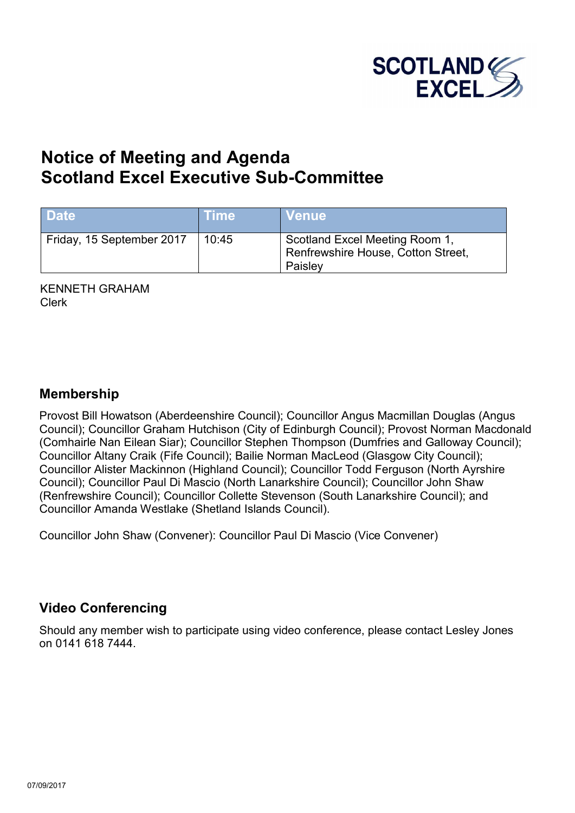

# **Notice of Meeting and Agenda Scotland Excel Executive Sub-Committee**

| <b>Date</b>               | <b>Time</b> | <b>Venue</b>                                                                    |
|---------------------------|-------------|---------------------------------------------------------------------------------|
| Friday, 15 September 2017 | 10:45       | Scotland Excel Meeting Room 1,<br>Renfrewshire House, Cotton Street,<br>Paisley |

KENNETH GRAHAM Clerk

#### **Membership**

Provost Bill Howatson (Aberdeenshire Council); Councillor Angus Macmillan Douglas (Angus Council); Councillor Graham Hutchison (City of Edinburgh Council); Provost Norman Macdonald (Comhairle Nan Eilean Siar); Councillor Stephen Thompson (Dumfries and Galloway Council); Councillor Altany Craik (Fife Council); Bailie Norman MacLeod (Glasgow City Council); Councillor Alister Mackinnon (Highland Council); Councillor Todd Ferguson (North Ayrshire Council); Councillor Paul Di Mascio (North Lanarkshire Council); Councillor John Shaw (Renfrewshire Council); Councillor Collette Stevenson (South Lanarkshire Council); and Councillor Amanda Westlake (Shetland Islands Council).

Councillor John Shaw (Convener): Councillor Paul Di Mascio (Vice Convener)

#### **Video Conferencing**

Should any member wish to participate using video conference, please contact Lesley Jones on 0141 618 7444.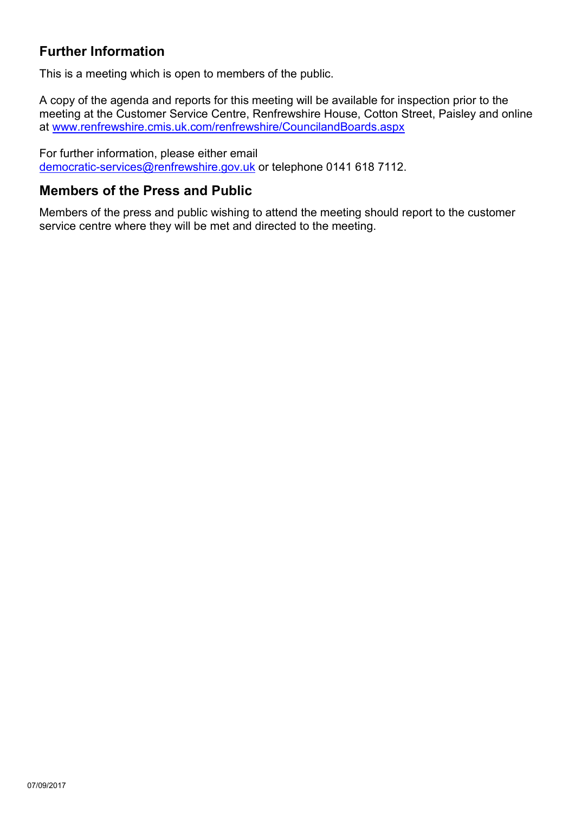## **Further Information**

This is a meeting which is open to members of the public.

A copy of the agenda and reports for this meeting will be available for inspection prior to the meeting at the Customer Service Centre, Renfrewshire House, Cotton Street, Paisley and online at [www.renfrewshire.cmis.uk.com/renfrewshire/CouncilandBoards.aspx](http://www.renfrewshire.cmis.uk.com/renfrewshire/CouncilandBoards.aspx)

For further information, please either email [democratic-services@renfrewshire.gov.uk](mailto:democratic-services@renfrewshire.gov.uk) or telephone 0141 618 7112.

#### **Members of the Press and Public**

Members of the press and public wishing to attend the meeting should report to the customer service centre where they will be met and directed to the meeting.